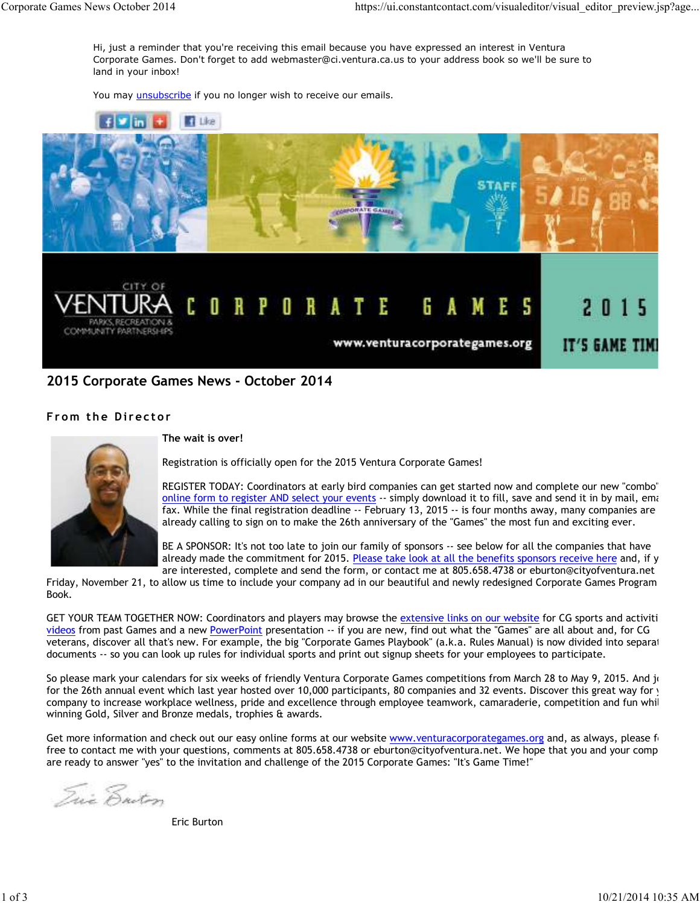Hi, just a reminder that you're receiving this email because you have expressed an interest in Ventura Corporate Games. Don't forget to add webmaster@ci.ventura.ca.us to your address book so we'll be sure to land in your inbox!

You may *unsubscribe* if you no longer wish to receive our emails.



## **2015 Corporate Games News - October 2014**

## **From the Director**



#### **The wait is over!**

Registration is officially open for the 2015 Ventura Corporate Games!

REGISTER TODAY: Coordinators at early bird companies can get started now and complete our new "combo" online form to register AND select your events -- simply download it to fill, save and send it in by mail, email fax. While the final registration deadline -- February 13, 2015 -- is four months away, many companies are already calling to sign on to make the 26th anniversary of the "Games" the most fun and exciting ever.

BE A SPONSOR: It's not too late to join our family of sponsors -- see below for all the companies that have already made the commitment for 2015. Please take look at all the benefits sponsors receive here and, if y are interested, complete and send the form, or contact me at 805.658.4738 or eburton@cityofventura.net

Friday, November 21, to allow us time to include your company ad in our beautiful and newly redesigned Corporate Games Program Book.

GET YOUR TEAM TOGETHER NOW: Coordinators and players may browse the extensive links on our website for CG sports and activiti videos from past Games and a new PowerPoint presentation -- if you are new, find out what the "Games" are all about and, for CG veterans, discover all that's new. For example, the big "Corporate Games Playbook" (a.k.a. Rules Manual) is now divided into separat documents -- so you can look up rules for individual sports and print out signup sheets for your employees to participate.

So please mark your calendars for six weeks of friendly Ventura Corporate Games competitions from March 28 to May 9, 2015. And jot for the 26th annual event which last year hosted over 10,000 participants, 80 companies and 32 events. Discover this great way for y company to increase workplace wellness, pride and excellence through employee teamwork, camaraderie, competition and fun whil winning Gold, Silver and Bronze medals, trophies & awards.

Get more information and check out our easy online forms at our website www.venturacorporategames.org and, as always, please feelt free to contact me with your questions, comments at 805.658.4738 or eburton@cityofventura.net. We hope that you and your comp are ready to answer "yes" to the invitation and challenge of the 2015 Corporate Games: "It's Game Time!"

Tric Enton

Eric Burton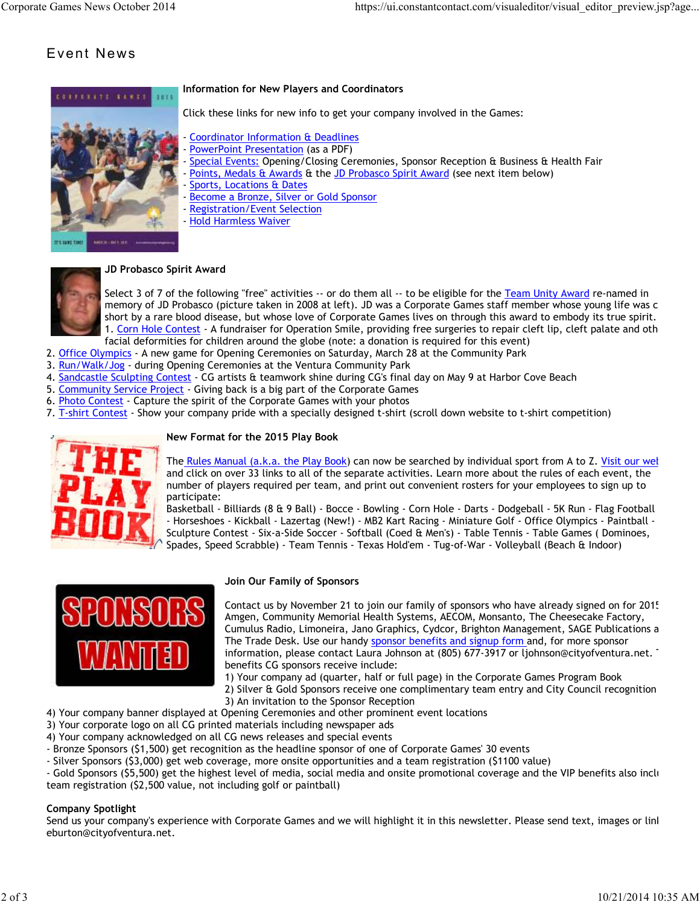# Event News



## **Information for New Players and Coordinators**

Click these links for new info to get your company involved in the Games:

- Coordinator Information & Deadlines
- PowerPoint Presentation (as a PDF)
- Special Events: Opening/Closing Ceremonies, Sponsor Reception & Business & Health Fair
- Points, Medals & Awards & the JD Probasco Spirit Award (see next item below)
- Sports, Locations & Dates
- Become a Bronze, Silver or Gold Sponsor
- Registration/Event Selection
- Hold Harmless Waiver



#### **JD Probasco Spirit Award**

Select 3 of 7 of the following "free" activities -- or do them all -- to be eligible for the Team Unity Award re-named in memory of JD Probasco (picture taken in 2008 at left). JD was a Corporate Games staff member whose young life was cut short by a rare blood disease, but whose love of Corporate Games lives on through this award to embody its true spirit. 1. Corn Hole Contest - A fundraiser for Operation Smile, providing free surgeries to repair cleft lip, cleft palate and oth facial deformities for children around the globe (note: a donation is required for this event)

- 2. Office Olympics A new game for Opening Ceremonies on Saturday, March 28 at the Community Park
- 3. Run/Walk/Jog during Opening Ceremonies at the Ventura Community Park
- 4. Sandcastle Sculpting Contest CG artists & teamwork shine during CG's final day on May 9 at Harbor Cove Beach
- 5. Community Service Project Giving back is a big part of the Corporate Games
- 6. Photo Contest Capture the spirit of the Corporate Games with your photos
- 7. T-shirt Contest Show your company pride with a specially designed t-shirt (scroll down website to t-shirt competition)



#### **New Format for the 2015 Play Book**

The Rules Manual (a.k.a. the Play Book) can now be searched by individual sport from A to Z. Visit our wel and click on over 33 links to all of the separate activities. Learn more about the rules of each event, the number of players required per team, and print out convenient rosters for your employees to sign up to participate:

Basketball - Billiards (8 & 9 Ball) - Bocce - Bowling - Corn Hole - Darts - Dodgeball - 5K Run - Flag Football - Horseshoes - Kickball - Lazertag (New!) - MB2 Kart Racing - Miniature Golf - Office Olympics - Paintball -Sculpture Contest - Six-a-Side Soccer - Softball (Coed & Men's) - Table Tennis - Table Games ( Dominoes, Spades, Speed Scrabble) - Team Tennis - Texas Hold'em - Tug-of-War - Volleyball (Beach & Indoor)



#### **Join Our Family of Sponsors**

Contact us by November 21 to join our family of sponsors who have already signed on for 2015: Amgen, Community Memorial Health Systems, AECOM, Monsanto, The Cheesecake Factory, Cumulus Radio, Limoneira, Jano Graphics, Cydcor, Brighton Management, SAGE Publications a The Trade Desk. Use our handy sponsor benefits and signup form and, for more sponsor information, please contact Laura Johnson at (805) 677-3917 or ljohnson@cityofventura.net. benefits CG sponsors receive include:

1) Your company ad (quarter, half or full page) in the Corporate Games Program Book

2) Silver & Gold Sponsors receive one complimentary team entry and City Council recognition 3) An invitation to the Sponsor Reception

- 4) Your company banner displayed at Opening Ceremonies and other prominent event locations
- 3) Your corporate logo on all CG printed materials including newspaper ads
- 4) Your company acknowledged on all CG news releases and special events
- Bronze Sponsors (\$1,500) get recognition as the headline sponsor of one of Corporate Games' 30 events
- Silver Sponsors (\$3,000) get web coverage, more onsite opportunities and a team registration (\$1100 value)

- Gold Sponsors (\$5,500) get the highest level of media, social media and onsite promotional coverage and the VIP benefits also inclu team registration (\$2,500 value, not including golf or paintball)

#### **Company Spotlight**

Send us your company's experience with Corporate Games and we will highlight it in this newsletter. Please send text, images or link eburton@cityofventura.net.